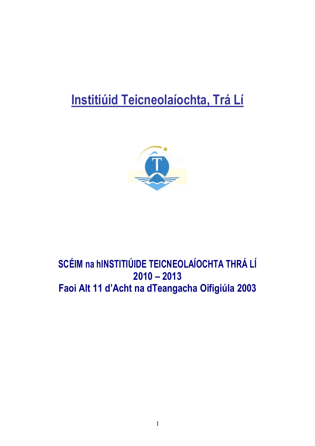# **Institiúid Teicneolaíochta, Trá Lí**



## **SCÉIM na hINSTITIÚIDE TEICNEOLAÍOCHTA THRÁ LÍ 2010 – 2013 Faoi Alt 11 d'Acht na dTeangacha Oifigiúla 2003**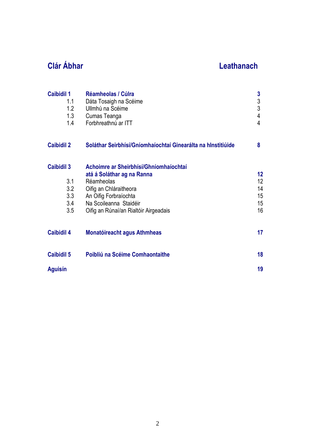## **Clár Ábhar Leathanach**

| <b>Caibidil 1</b><br>1.1<br>1.2<br>1.3<br>1.4 | Réamheolas / Cúlra<br>Dáta Tosaigh na Scéime<br>Ullmhú na Scéime<br>Cumas Teanga<br>Forbhreathnú ar ITT | 3<br>$\frac{3}{3}$<br>$\overline{4}$<br>4 |
|-----------------------------------------------|---------------------------------------------------------------------------------------------------------|-------------------------------------------|
| <b>Caibidil 2</b>                             | Soláthar Seirbhísí/Gníomhaíochtaí Ginearálta na hInstitiúide                                            | 8                                         |
| <b>Caibidil 3</b>                             | Achoimre ar Sheirbhísí/Ghníomhaíochtaí                                                                  |                                           |
|                                               | atá á Soláthar ag na Ranna                                                                              | 12 <sub>2</sub>                           |
| 3.1<br>3.2                                    | Réamheolas                                                                                              | 12 <sup>°</sup><br>14                     |
| 3.3                                           | Oifig an Chláraitheora<br>An Oifig Forbraíochta                                                         | 15                                        |
| 3.4                                           | Na Scoileanna Staidéir                                                                                  | 15                                        |
| 3.5                                           | Oifig an Rúnaí/an Rialtóir Airgeadais                                                                   | 16                                        |
| <b>Caibidil 4</b>                             | <b>Monatóireacht agus Athmheas</b>                                                                      | 17                                        |
| <b>Caibidil 5</b>                             | Poibliú na Scéime Comhaontaithe                                                                         | 18                                        |
| <b>Aguisín</b>                                |                                                                                                         | 19                                        |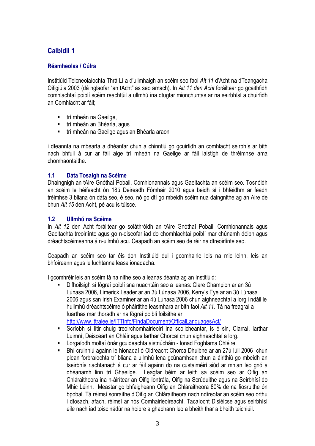### **Caibidil 1**

### **Réamheolas / Cúlra**

Institiúid Teicneolaíochta Thrá Lí a d'ullmhaigh an scéim seo faoi *Alt 11* d'Acht na dTeangacha Oifigiúla 2003 (dá nglaofar "an tAcht" as seo amach). In *Alt 11 den Acht* foráiltear go gcaithfidh comhlachtaí poiblí scéim reachtúil a ullmhú ina dtugtar mionchuntas ar na seirbhísí a chuirfidh an Comhlacht ar fáil;

- trí mheán na Gaeilge,
- trí mheán an Bhéarla, agus
- trí mheán na Gaeilge agus an Bhéarla araon

i dteannta na mbearta a dhéanfar chun a chinntiú go gcuirfidh an comhlacht seirbhís ar bith nach bhfuil á cur ar fáil aige trí mheán na Gaeilge ar fáil laistigh de thréimhse ama chomhaontaithe.

### **1.1 Dáta Tosaigh na Scéime**

Dhaingnigh an tAire Gnóthaí Pobail, Comhionannais agus Gaeltachta an scéim seo. Tosnóidh an scéim le héifeacht ón 18ú Deireadh Fómhair 2010 agus beidh sí i bhfeidhm ar feadh tréimhse 3 bliana ón dáta seo, é seo, nó go dtí go mbeidh scéim nua daingnithe ag an Aire de bhun *Alt 15* den Acht, pé acu is túisce.

### **1.2 Ullmhú na Scéime**

In *Alt 12* den Acht foráiltear go soláthróidh an tAire Gnóthaí Pobail, Comhionannais agus Gaeltachta treoirlínte agus go n-eiseofar iad do chomhlachtaí poiblí mar chúnamh dóibh agus dréachtscéimeanna á n-ullmhú acu. Ceapadh an scéim seo de réir na dtreoirlínte seo.

Ceapadh an scéim seo tar éis don Institiúid dul i gcomhairle leis na mic léinn, leis an bhfoireann agus le luchtanna leasa ionadacha.

I gcomhréir leis an scéim tá na nithe seo a leanas déanta ag an Institiúid:

- D'fhoilsigh sí fógraí poiblí sna nuachtáin seo a leanas: Clare Champion ar an 3ú Lúnasa 2006, Limerick Leader ar an 3ú Lúnasa 2006, Kerry's Eye ar an 3ú Lúnasa 2006 agus san Irish Examiner ar an 4ú Lúnasa 2006 chun aighneachtaí a lorg i ndáil le hullmhú dréachtscéime ó pháirtithe leasmhara ar bith faoi *Alt 11*. Tá na freagraí a fuarthas mar thoradh ar na fógraí poiblí foilsithe ar http://www.ittralee.ie/ITTInfo/FindaDocument/OfficalLanguagesAct/
- Scríobh sí litir chuig treoirchomhairleoirí ina scoilcheantar, is é sin, Ciarraí, Iarthar Luimní, Deisceart an Chláir agus Iarthar Chorcaí chun aighneachtaí a lorg.
- Lorgaíodh moltaí ónár gcuideachta aistriúcháin Ionad Foghlama Chléire.
- Bhí cruinniú againn le hionadaí ó Oidreacht Chorca Dhuibne ar an 27ú Iúil 2006 chun plean forbraíochta trí bliana a ullmhú lena gcúnamhsan chun a áirithiú go mbeidh an tseirbhís riachtanach á cur ar fáil againn do na custaiméirí siúd ar mhian leo gnó a dhéanamh linn trí Ghaeilge. Leagfar béim ar leith sa scéim seo ar Oifig an Chláraitheora ina n-áirítear an Oifig Iontrála, Oifig na Scrúduithe agus na Seirbhísí do Mhic Léinn. Meastar go bhfaigheann Oifig an Chláraitheora 80% de na fiosruithe ón bpobal. Tá réimsí sonraithe d'Oifig an Chláraitheora nach ndíreofar an scéim seo orthu i dtosach, áfach, réimsí ar nós Comhairleoireacht, Tacaíocht Disléicse agus seirbhísí eile nach iad toisc nádúr na hoibre a ghabhann leo a bheith thar a bheith teicniúil.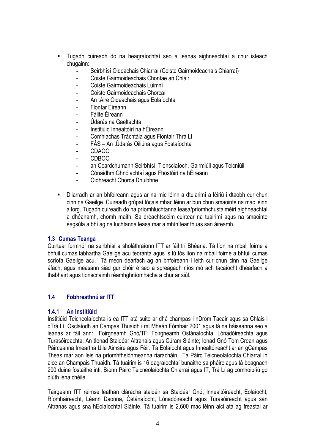- Tugadh cuireadh do na heagraíochtaí seo a leanas aighneachtaí a chur isteach chugainn:
	- Seirbhísí Oideachais Chiarraí (Coiste Gairmoideachais Chiarraí)
	- Coiste Gairmoideachais Chontae an Chláir
	- Coiste Gairmoideachais Luimní
	- Coiste Gairmoideachais Chorcaí
	- An tAire Oideachais agus Eolaíochta
	- Fiontar Éireann
	- Fáilte Éireann
	- Údarás na Gaeltachta
	- Institiúid Innealtóirí na hÉireann
	- Comhlachas Tráchtála agus Fiontair Thrá Lí
	- FÁS An tÚdarás Oiliúna agus Fostaíochta
	- CDAOO
	- CDBOO
	- an Ceardchumann Seirbhísí, Tionsclaíoch, Gairmiúil agus Teicniúil
	- Cónaidhm Ghnólachtaí agus Fhostóirí na hÉireann
	- Oidhreacht Chorca Dhuibhne
- D'iarradh ar an bhfoireann agus ar na mic léinn a dtuiarimí a léiriú i dtaobh cur chun cinn na Gaeilge. Cuireadh grúpaí fócais mhac léinn ar bun chun smaointe na mac léinn a lorg. Tugadh cuireadh do na príomhluchtanna leasa/príomhchustaiméirí aighneachtaí a dhéanamh, chomh maith. Sa dréachtscéim cuirtear na tuairimí agus na smaointe éagsúla a bhí ag na luchtanna leasa mar a mhínítear thuas san áireamh.

### **1.3 Cumas Teanga**

Cuirtear formhór na seirbhísí a sholáthraíonn ITT ar fáil trí Bhéarla. Tá líon na mball foirne a bhfuil cumas labhartha Gaeilge acu teoranta agus is lú fós líon na mball foirne a bhfuil cumas scríofa Gaeilge acu. Tá meon dearfach ag an bhfoireann i leith cur chun cinn na Gaeilge áfach, agus measann siad gur chóir é seo a spreagadh níos mó ach tacaíocht dhearfach a thabhairt agus tionscnaimh réamhghníomhacha a chur ar siúl.

### **1.4 Fobhreathnú ar ITT**

### **1.4.1 An Institiúid**

Institiúid Teicneolaíochta is ea ITT atá suite ar dhá champas i nDrom Tacair agus sa Chlais i dTrá Lí. Osclaíodh an Campas Thuaidh i mí Mheán Fómhair 2001 agus tá na háiseanna seo a leanas ar fáil ann: Foirgneamh Gnó/TF; Foirgneamh Óstánaíochta, Lónadóireachta agus Turasóireachta; An tIonad Staidéar Altranais agus Cúram Sláinte; Ionad Gnó Tom Crean agus Páirceanna Imeartha Uile Aimsire agus Féir. Tá Eolaíocht agus Innealtóireacht ar an gCampas Theas mar aon leis na príomhfheidhmeanna riaracháin. Tá Páirc Teicneolaíochta Chiarraí in aice an Champais Thuaidh. Tá tuairim is 16 eagraíochtaí bunaithe sa pháirc agus tá beagnach 200 duine fostaithe inti. Bíonn Páirc Teicneolaíochta Chiarraí agus IT, Trá Lí ag comhoibriú go dlúth lena chéile.

Tairgeann ITT réimse leathan cláracha staidéir sa Staidéar Gnó, Innealtóireacht, Eolaíocht, Ríomhaireacht, Léann Daonna, Óstánaíocht, Lónadóireacht agus Turasóireacht agus san Altranas agus sna hEolaíochtaí Sláinte. Tá tuairim is 2,600 mac léinn aici atá ag freastal ar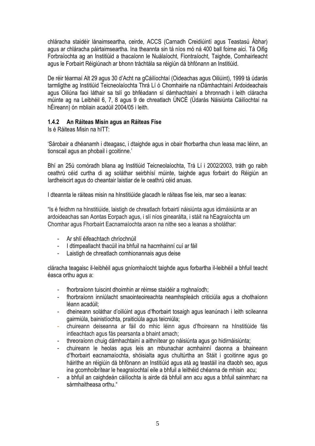chláracha staidéir lánaimseartha, ceirde, ACCS (Carnadh Creidiúintí agus Teastasú Ábhar) agus ar chláracha páirtaimseartha. Ina theannta sin tá níos mó ná 400 ball foirne aici. Tá Oifig Forbraíochta ag an Institiúid a thacaíonn le Nuálaíocht, Fiontraíocht, Taighde, Comhairleacht agus le Forbairt Réigiúnach ar bhonn tráchtála sa réigiún dá bhfónann an Institiúid.

De réir téarmaí Alt 29 agus 30 d'Acht na gCáilíochtaí (Oideachas agus Oiliúint), 1999 tá údarás tarmligthe ag Institiúid Teicneolaíochta Thrá Lí ó Chomhairle na nDámhachtainí Ardoideachais agus Oiliúna faoi láthair sa tslí go bhféadann sí dámhachtainí a bhronnadh i leith cláracha múinte ag na Leibhéil 6, 7, 8 agus 9 de chreatlach ÚNCÉ (Údarás Náisiúnta Cáilíochtaí na hÉireann) ón mbliain acadúil 2004/05 i leith.

### **1.4.2 An Ráiteas Misin agus an Ráiteas Físe**

Is é Ráiteas Misin na hITT:

'Sárobair a dhéanamh i dteagasc, i dtaighde agus in obair fhorbartha chun leasa mac léinn, an tionscail agus an phobail i gcoitinne.'

Bhí an 25ú comóradh bliana ag Institiúid Teicneolaíochta, Trá Lí i 2002/2003, tráth go raibh ceathrú céid curtha di ag soláthar seirbhísí múinte, taighde agus forbairt do Réigiún an Iardheiscirt agus do cheantair laistiar de le ceathrú céid anuas.

I dteannta le ráiteas misin na hInstitiúide glacadh le ráiteas físe leis, mar seo a leanas:

"Is é feidhm na hInstitiúide, laistigh de chreatlach forbairtí náisiúnta agus idirnáisiúnta ar an ardoideachas san Aontas Eorpach agus, i slí níos ginearálta, i stáit na hEagraíochta um Chomhar agus Fhorbairt Eacnamaíochta araon na nithe seo a leanas a sholáthar:

- Ar shlí éifeachtach chríochnúil
- I dtimpeallacht thacúil ina bhfuil na hacmhainní cuí ar fáil
- Laistigh de chreatlach comhionannais agus deise

cláracha teagaisc il-leibhéil agus gníomhaíocht taighde agus forbartha il-leibhéil a bhfuil teacht éasca orthu agus a:

- fhorbraíonn tuiscint dhoimhin ar réimse staidéir a roghnaíodh;
- fhorbraíonn inniúlacht smaointeoireachta neamhspleách criticiúla agus a chothaíonn léann acadúil;
- dheineann soláthar d'oiliúint agus d'fhorbairt tosaigh agus leanúnach i leith scileanna gairmiúla, bainistíochta, praiticiúla agus teicniúla;
- chuireann deiseanna ar fáil do mhic léinn agus d'fhoireann na hInstitiúide fás intleachtach agus fás pearsanta a bhaint amach;
- threoraíonn chuig dámhachtainí a aithnítear go náisiúnta agus go hidirnáisiúnta;
- chuireann le heolas agus leis an mbunachar acmhainní daonna a bhaineann d'fhorbairt eacnamaíochta, shóisialta agus chultúrtha an Stáit i gcoitinne agus go háirithe an réigiúin dá bhfónann an Institiúid agus atá ag teastáil ina dtaobh seo, agus ina gcomhoibrítear le heagraíochtaí eile a bhfuil a leithéid chéanna de mhisin acu;
- a bhfuil an caighdeán cáilíochta is airde dá bhfuil ann acu agus a bhfuil sainmharc na sármhaitheasa orthu<sup>"</sup>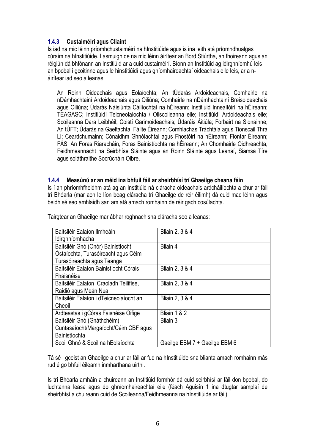### **1.4.3 Custaiméirí agus Cliaint**

Is iad na mic léinn príomhchustaiméirí na hInstitiúide agus is ina leith atá príomhdhualgas cúraim na hInstitiúide. Lasmuigh de na mic léinn áirítear an Bord Stiúrtha, an fhoireann agus an réigiún dá bhfónann an Institiúid ar a cuid custaiméirí. Bíonn an Institiúid ag idirghníomhú leis an bpobal i gcoitinne agus le hinstitiúidí agus gníomhaireachtaí oideachais eile leis, ar a náirítear iad seo a leanas:

An Roinn Oideachais agus Eolaíochta; An tÚdarás Ardoideachais, Comhairle na nDámhachtainí Ardoideachais agus Oiliúna; Comhairle na nDámhachtainí Breisoideachais agus Oiliúna; Údarás Náisiúnta Cáilíochtaí na hÉireann; Institiúid Innealtóirí na hÉireann; TEAGASC; Institiúidí Teicneolaíochta / Ollscoileanna eile; Institiúidí Ardoideachais eile; Scoileanna Dara Leibhéil; Coistí Garimoideachais; Údaráis Áitiúla; Forbairt na Sionainne; An tÚFT; Údarás na Gaeltachta; Fáilte Éireann; Comhlachas Tráchtála agus Tionscail Thrá Lí; Ceardchumainn; Cónaidhm Ghnólachtaí agus Fhostóirí na hÉireann; Fiontar Éireann; FÁS; An Foras Riaracháin, Foras Bainistíochta na hÉireann; An Chomhairle Oidhreachta, Feidhmeannacht na Seirbhíse Sláinte agus an Roinn Sláinte agus Leanaí, Siamsa Tíre agus soláthraithe Socrúcháin Oibre.

### **1.4.4 Measúnú ar an méid ina bhfuil fáil ar sheirbhísí trí Ghaeilge cheana féin**

Is í an phríomhfheidhm atá ag an Institiúid ná cláracha oideachais ardcháilíochta a chur ar fáil trí Bhéarla (mar aon le líon beag cláracha trí Ghaeilge de réir éilimh) dá cuid mac léinn agus beidh sé seo amhlaidh san am atá amach romhainn de réir gach cosúlachta.

| Baitsiléir Ealaíon Ilmheáin             | <b>Bliain 2, 3 &amp; 4</b>    |
|-----------------------------------------|-------------------------------|
| Idirghníomhacha                         |                               |
| Baitsiléir Gnó (Onór) Bainistíocht      | Bliain 4                      |
| Óstaíochta, Turasóireacht agus Céim     |                               |
| Turasóireachta agus Teanga              |                               |
| Baitsiléir Ealaíon Bainistíocht Córais  | <b>Bliain 2, 3 &amp; 4</b>    |
| Fhaisnéise                              |                               |
| Baitsiléir Ealaíon Craoladh Teilifíse,  | <b>Bliain 2, 3 &amp; 4</b>    |
| Raidió agus Meán Nua                    |                               |
| Baitsiléir Ealaíon i dTeicneolaíocht an | <b>Bliain 2, 3 &amp; 4</b>    |
| Cheoil                                  |                               |
| Ardteastas i gCóras Faisnéise Oifige    | Bliain 1 & 2                  |
| Baitsiléir Gnó (Gnáthchéim)             | Bliain 3                      |
| Cuntasaíocht/Margaíocht/Céim CBF agus   |                               |
| Bainistíochta                           |                               |
| Scoil Ghnó & Scoil na hEolaíochta       | Gaeilge EBM 7 + Gaeilge EBM 6 |

Tairgtear an Ghaeilge mar ábhar roghnach sna cláracha seo a leanas:

Tá sé i gceist an Ghaeilge a chur ar fáil ar fud na hInstitiúide sna blianta amach romhainn más rud é go bhfuil éileamh inmharthana uirthi.

Is trí Bhéarla amháin a chuireann an Institiúid formhór dá cuid seirbhísí ar fáil don bpobal, do luchtanna leasa agus do ghníomhaireachtaí eile (féach Aguisín 1 ina dtugtar samplaí de sheirbhísí a chuireann cuid de Scoileanna/Feidhmeanna na hInstitiúide ar fáil).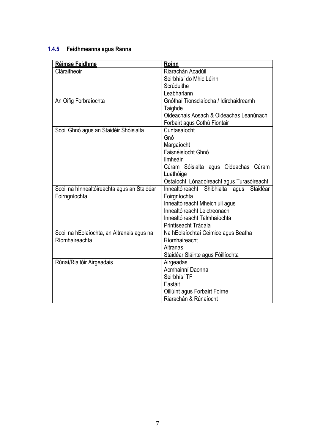### **1.4.5 Feidhmeanna agus Ranna**

| Réimse Feidhme                              | Roinn                                          |  |  |
|---------------------------------------------|------------------------------------------------|--|--|
| Cláraitheoir                                | Riarachán Acadúil                              |  |  |
|                                             | Seirbhísí do Mhic Léinn                        |  |  |
|                                             | Scrúduithe                                     |  |  |
|                                             | Leabharlann                                    |  |  |
| An Oifig Forbraíochta                       | Gnóthaí Tionsclaíocha / Idirchaidreamh         |  |  |
|                                             | Taighde                                        |  |  |
|                                             | Oideachais Aosach & Oideachas Leanúnach        |  |  |
|                                             | Forbairt agus Cothú Fiontair                   |  |  |
| Scoil Ghnó agus an Staidéir Shóisialta      | Cuntasaíocht                                   |  |  |
|                                             | Gnó                                            |  |  |
|                                             | Margaíocht                                     |  |  |
|                                             | Faisnéisíocht Ghnó                             |  |  |
|                                             | Ilmheáin                                       |  |  |
|                                             | Cúram Sóisialta agus Oideachas Cúram           |  |  |
|                                             | Luathóige                                      |  |  |
|                                             | Óstaíocht, Lónadóireacht agus Turasóireacht    |  |  |
| Scoil na hInnealtóireachta agus an Staidéar | Shibhialta agus<br>Innealtóireacht<br>Staidéar |  |  |
| Foirngníochta                               | Foirgníochta                                   |  |  |
|                                             | Innealtóireacht Mheicniúil agus                |  |  |
|                                             | Innealtóireacht Leictreonach                   |  |  |
|                                             | Innealtóireacht Talmhaíochta                   |  |  |
|                                             | Printíseacht Trádála                           |  |  |
| Scoil na hEolaíochta, an Altranais agus na  | Na hEolaíochtaí Ceimice agus Beatha            |  |  |
| Ríomhaireachta                              | Ríomhaireacht                                  |  |  |
|                                             | Altranas                                       |  |  |
|                                             | Staidéar Sláinte agus Fóillíochta              |  |  |
| Rúnaí/Rialtóir Airgeadais                   | Airgeadas                                      |  |  |
|                                             | Acmhainní Daonna                               |  |  |
|                                             | Seirbhísí TF                                   |  |  |
|                                             | Eastáit                                        |  |  |
|                                             | Oiliúint agus Forbairt Foirne                  |  |  |
|                                             | Riarachán & Rúnaíocht                          |  |  |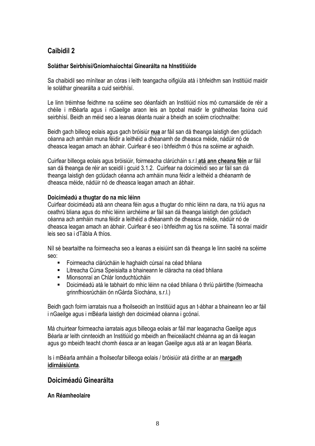### **Caibidil 2**

### **Soláthar Seirbhísí/Gníomhaíochtaí Ginearálta na hInstitiúide**

Sa chaibidil seo mínítear an córas i leith teangacha oifigiúla atá i bhfeidhm san Institiúid maidir le soláthar ginearálta a cuid seirbhísí.

Le linn tréimhse feidhme na scéime seo déanfaidh an Institiúid níos mó cumarsáide de réir a chéile i mBéarla agus i nGaeilge araon leis an bpobal maidir le gnátheolas faoina cuid seirbhísí. Beidh an méid seo a leanas déanta nuair a bheidh an scéim críochnaithe:

Beidh gach billeog eolais agus gach bróisiúr **nua** ar fáil san dá theanga laistigh den gclúdach céanna ach amháin muna féidir a leithéid a dhéanamh de dheasca méide, nádúir nó de dheasca leagan amach an ábhair. Cuirfear é seo i bhfeidhm ó thús na scéime ar aghaidh.

Cuirfear billeoga eolais agus bróisiúir, foirmeacha clárúcháin s.r.l **atá ann cheana féin** ar fáil san dá theanga de réir an sceidil i gcuid 3.1.2. Cuirfear na doiciméidí seo ar fáil san dá theanga laistigh den gclúdach céanna ach amháin muna féidir a leithéid a dhéanamh de dheasca méide, nádúir nó de dheasca leagan amach an ábhair.

### **Doiciméadú a thugtar do na mic léinn**

Cuirfear doiciméadú atá ann cheana féin agus a thugtar do mhic léinn na dara, na tríú agus na ceathrú bliana agus do mhic léinn iarchéime ar fáil san dá theanga laistigh den gclúdach céanna ach amháin muna féidir a leithéid a dhéanamh de dheasca méide, nádúir nó de dheasca leagan amach an ábhair. Cuirfear é seo i bhfeidhm ag tús na scéime. Tá sonraí maidir leis seo sa i dTábla A thíos.

Níl sé beartaithe na foirmeacha seo a leanas a eisiúint san dá theanga le linn saolré na scéime seo:

- Foirmeacha clárúcháin le haghaidh cúrsaí na céad bhliana
- Litreacha Cúrsa Speisialta a bhaineann le cláracha na céad bhliana
- Mionsonraí an Chlár Ionduchtúcháin
- Doiciméadú atá le tabhairt do mhic léinn na céad bhliana ó thríú páirtithe (foirmeacha grinnfhiosrúcháin ón nGárda Síochána, s.r.l.)

Beidh gach foirm iarratais nua a fhoilseoidh an Institiúid agus an t-ábhar a bhaineann leo ar fáil i nGaeilge agus i mBéarla laistigh den doiciméad céanna i gcónaí.

Má chuirtear foirmeacha iarratais agus billeoga eolais ar fáil mar leaganacha Gaeilge agus Béarla ar leith cinnteoidh an Institiúid go mbeidh an fheiceálacht chéanna ag an dá leagan agus go mbeidh teacht chomh éasca ar an leagan Gaeilge agus atá ar an leagan Béarla.

Is i mBéarla amháin a fhoilseofar billeoga eolais / bróisiúir atá dírithe ar an **margadh idirnáisiúnta**.

### **Doiciméadú Ginearálta**

### **An Réamheolaire**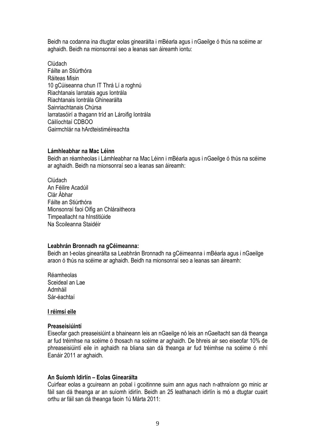Beidh na codanna ina dtugtar eolas ginearálta i mBéarla agus i nGaeilge ó thús na scéime ar aghaidh. Beidh na mionsonraí seo a leanas san áireamh iontu:

Clúdach Fáilte an Stiúrthóra Ráiteas Misin 10 gCúiseanna chun IT Thrá Lí a roghnú Riachtanais Iarratais agus Iontrála Riachtanais Iontrála Ghinearálta Sainriachtanais Chúrsa Iarratasóirí a thagann tríd an Lároifig Iontrála Cáilíochtaí CDBOO Gairmchlár na hArdteistiméireachta

#### **Lámhleabhar na Mac Léinn**

Beidh an réamheolas i Lámhleabhar na Mac Léinn i mBéarla agus i nGaeilge ó thús na scéime ar aghaidh. Beidh na mionsonraí seo a leanas san áireamh:

Clúdach An Féilire Acadúil Clár Ábhar Fáilte an Stiúrthóra Mionsonraí faoi Oifig an Chláraitheora Timpeallacht na hInstitiúide Na Scoileanna Staidéir

#### **Leabhrán Bronnadh na gCéimeanna:**

Beidh an t-eolas ginearálta sa Leabhrán Bronnadh na gCéimeanna i mBéarla agus i nGaeilge araon ó thús na scéime ar aghaidh. Beidh na mionsonraí seo a leanas san áireamh:

Réamheolas Sceideal an Lae Admháil Sár-éachtaí

#### **I réimsí eile**

#### **Preaseisiúintí**

Eiseofar gach preaseisiúint a bhaineann leis an nGaeilge nó leis an nGaeltacht san dá theanga ar fud tréimhse na scéime ó thosach na scéime ar aghaidh. De bhreis air seo eiseofar 10% de phreaseisiúintí eile in aghaidh na bliana san dá theanga ar fud tréimhse na scéime ó mhí Eanáir 2011 ar aghaidh.

### **An Suíomh Idirlín – Eolas Ginearálta**

Cuirfear eolas a gcuireann an pobal i gcoitinnne suim ann agus nach n-athraíonn go minic ar fáil san dá theanga ar an suíomh idirlín. Beidh an 25 leathanach idirlín is mó a dtugtar cuairt orthu ar fáil san dá theanga faoin 1ú Márta 2011: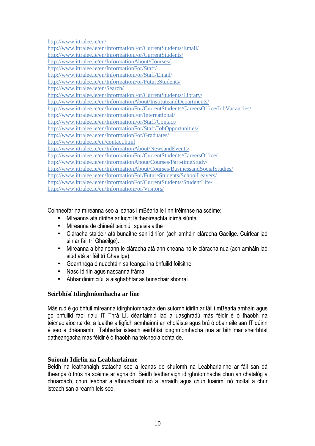http://www.ittralee.ie/en/ http://www.ittralee.ie/en/InformationFor/CurrentStudents/Email/ http://www.ittralee.ie/en/InformationFor/CurrentStudents/ http://www.ittralee.ie/en/InformationAbout/Courses/ http://www.ittralee.ie/en/InformationFor/Staff/ http://www.ittralee.ie/en/InformationFor/Staff/Email/ http://www.ittralee.ie/en/InformationFor/FutureStudents/ http://www.ittralee.ie/en/Search/ http://www.ittralee.ie/en/InformationFor/CurrentStudents/Library/ http://www.ittralee.ie/en/InformationAbout/InstituteandDepartments/ http://www.ittralee.ie/en/InformationFor/CurrentStudents/CareersOffice/JobVacancies/ http://www.ittralee.ie/en/InformationFor/International/ http://www.ittralee.ie/en/InformationFor/Staff/Contact/ http://www.ittralee.ie/en/InformationFor/Staff/JobOpportunities/ http://www.ittralee.ie/en/InformationFor/Graduates/ http://www.ittralee.ie/en/contact.html http://www.ittralee.ie/en/InformationAbout/NewsandEvents/ http://www.ittralee.ie/en/InformationFor/CurrentStudents/CareersOffice/ http://www.ittralee.ie/en/InformationAbout/Courses/Part-timeStudy/ http://www.ittralee.ie/en/InformationAbout/Courses/BusinessandSocialStudies/ http://www.ittralee.ie/en/InformationFor/FutureStudents/SchoolLeavers/ http://www.ittralee.ie/en/InformationFor/CurrentStudents/StudentLife/ http://www.ittralee.ie/en/InformationFor/Visitors/

Coinneofar na míreanna seo a leanas i mBéarla le linn tréimhse na scéime:

- Míreanna atá dírithe ar lucht léitheoireachta idirnáisiúnta
- Míreanna de chineál teicniúil speisialaithe
- Cláracha staidéir atá bunaithe san idirlíon (ach amháin cláracha Gaeilge. Cuirfear iad sin ar fáil trí Ghaeilge).
- Míreanna a bhaineann le cláracha atá ann cheana nó le cláracha nua (ach amháin iad siúd atá ar fáil trí Ghaeilge)
- Gearrthóga ó nuachtáin sa teanga ina bhfuilid foilsithe.
- Nasc Idirlín agus nascanna fráma
- Ábhar dinimiciúil a aisghabhtar as bunachair shonraí

### **Seirbhísí Idirghníomhacha ar líne**

Más rud é go bhfuil míreanna idirghníomhacha den suíomh idirlín ar fáil i mBéarla amháin agus go bhfuilid faoi rialú IT Thrá Lí, déanfaimid iad a uasghrádú más féidir é ó thaobh na teicneolaíochta de, a luaithe a ligfidh acmhainní an choláiste agus brú ó obair eile san IT dúinn é seo a dhéanamh. Tabharfar isteach seirbhísí idirghníomhacha nua ar bith mar sheirbhísí dátheangacha más féidir é ó thaobh na teicneolaíochta de.

### **Suíomh Idirlín na Leabharlainne**

Beidh na leathanaigh statacha seo a leanas de shuíomh na Leabharlainne ar fáil san dá theanga ó thús na scéime ar aghaidh. Beidh leathanaigh idirghníomhacha chun an chatalóg a chuardach, chun leabhar a athnuachaint nó a iarraidh agus chun tuairimí nó moltaí a chur isteach san áireamh leis seo.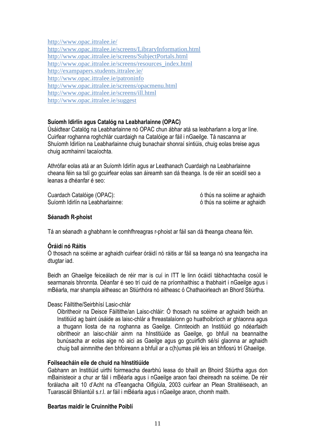http://www.opac.ittralee.ie/

http://www.opac.ittralee.ie/screens/LibraryInformation.html http://www.opac.ittralee.ie/screens/SubjectPortals.html http://www.opac.ittralee.ie/screens/resources\_index.html http://exampapers.students.ittralee.ie/ http://www.opac.ittralee.ie/patroninfo http://www.opac.ittralee.ie/screens/opacmenu.html http://www.opac.ittralee.ie/screens/ill.html http://www.opac.ittralee.ie/suggest

### **Suíomh Idirlín agus Catalóg na Leabharlainne (OPAC)**

Úsáidtear Catalóg na Leabharlainne nó OPAC chun ábhar atá sa leabharlann a lorg ar líne. Cuirfear roghanna roghchlár cuardaigh na Catalóige ar fáil i nGaeilge. Tá nascanna ar Shuíomh Idirlíon na Leabharlainne chuig bunachair shonraí síntiúis, chuig eolas breise agus chuig acmhainní tacaíochta.

Athrófar eolas atá ar an Suíomh Idirlín agus ar Leathanach Cuardaigh na Leabharlainne cheana féin sa tslí go gcuirfear eolas san áireamh san dá theanga. Is de réir an sceidil seo a leanas a dhéanfar é seo:

Cuardach Catalóige (OPAC): ó thús na scéime ar aghaidh Suíomh Idirlín na Leabharlainne: ó thús na scéime ar aghaidh

### **Séanadh R-phoist**

Tá an séanadh a ghabhann le comhfhreagras r-phoist ar fáil san dá theanga cheana féin.

### **Óráidí nó Ráitis**

Ó thosach na scéime ar aghaidh cuirfear óráidí nó ráitis ar fáil sa teanga nó sna teangacha ina dtugtar iad.

Beidh an Ghaeilge feiceálach de réir mar is cuí in ITT le linn ócáidí tábhachtacha cosúil le searmanais bhronnta. Déanfar é seo trí cuid de na príomhaithisc a thabhairt i nGaeilge agus i mBéarla, mar shampla aitheasc an Stiúrthóra nó aitheasc ó Chathaoirleach an Bhord Stiúrtha.

### Deasc Fáiltithe/Seirbhísí Lasic-chlár

Oibritheoir na Deisce Fáiltithe/an Laisc-chláir: Ó thosach na scéime ar aghaidh beidh an Institiúid ag baint úsáide as laisc-chlár a fhreastalaíonn go huathoibríoch ar ghlaonna agus a thugann liosta de na roghanna as Gaeilge. Cinnteoidh an Institiúid go ndéarfaidh oibritheoir an laisc-chláir ainm na hInstitiúide as Gaeilge, go bhfuil na beannaithe bunúsacha ar eolas aige nó aici as Gaeilge agus go gcuirfidh sé/sí glaonna ar aghaidh chuig ball ainmnithe den bhfoireann a bhfuil ar a c(h)umas plé leis an bhfiosrú trí Ghaeilge.

### **Foilseacháin eile de chuid na hInstitiúide**

Gabhann an Institiúid uirthi foirmeacha dearbhú leasa do bhaill an Bhoird Stiúrtha agus don mBainisteoir a chur ar fáil i mBéarla agus i nGaeilge araon faoi dheireadh na scéime. De réir forálacha ailt 10 d'Acht na dTeangacha Oifigiúla, 2003 cuirfear an Plean Straitéiseach, an Tuarascáil Bhliantúil s.r.l. ar fáil i mBéarla agus i nGaeilge araon, chomh maith.

### **Beartas maidir le Cruinnithe Poiblí**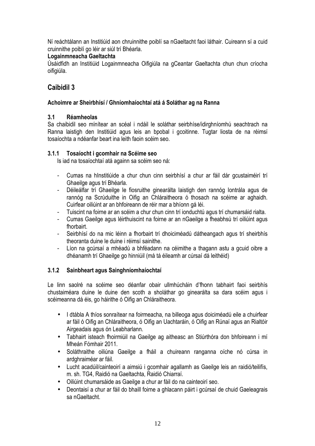Ní reáchtálann an Institiúid aon chruinnithe poiblí sa nGaeltacht faoi láthair. Cuireann sí a cuid cruinnithe poiblí go léir ar siúl trí Bhéarla.

### **Logainmneacha Gaeltachta**

Úsáidfidh an Institiúid Logainmneacha Oifigiúla na gCeantar Gaeltachta chun chun críocha oifigiúla.

### **Caibidil 3**

### **Achoimre ar Sheirbhísí / Ghníomhaíochtaí atá á Soláthar ag na Ranna**

### **3.1 Réamheolas**

Sa chaibidil seo mínítear an scéal i ndáil le soláthar seirbhíse/idirghníomhú seachtrach na Ranna laistigh den Institiúid agus leis an bpobal i gcoitinne. Tugtar liosta de na réimsí tosaíochta a ndéanfar beart ina leith faoin scéim seo.

### **3.1.1 Tosaíocht i gcomhair na Scéime seo**

Is iad na tosaíochtaí atá againn sa scéim seo ná:

- Cumas na hInstitiúide a chur chun cinn seirbhísí a chur ar fáil dár gcustaiméirí trí Ghaeilge agus trí Bhéarla.
- Déileálfar trí Ghaeilge le fiosruithe ginearálta laistigh den rannóg Iontrála agus de rannóg na Scrúduithe in Oifig an Chláraitheora ó thosach na scéime ar aghaidh. Cuirfear oiliúint ar an bhfoireann de réir mar a bhíonn gá léi.
- Tuiscint na foirne ar an scéim a chur chun cinn trí ionduchtú agus trí chumarsáid rialta.
- Cumas Gaeilge agus léirthuiscint na foirne ar an nGaeilge a fheabhsú trí oiliúint agus fhorbairt.
- Seirbhísí do na mic léinn a fhorbairt trí dhoiciméadú dátheangach agus trí sheirbhís theoranta duine le duine i réimsí sainithe.
- Líon na gcúrsaí a mhéadú a bhféadann na céimithe a thagann astu a gcuid oibre a dhéanamh trí Ghaeilge go hinniúil (má tá éileamh ar cúrsaí dá leithéid)

### **3.1.2 Sainbheart agus Sainghníomhaíochtaí**

Le linn saolré na scéime seo déanfar obair ullmhúcháin d'fhonn tabhairt faoi seirbhís chustaiméara duine le duine den scoth a sholáthar go ginearálta sa dara scéim agus i scéimeanna dá éis, go háirithe ó Oifig an Chláraitheora.

- I dtábla A thíos sonraítear na foirmeacha, na billeoga agus doiciméadú eile a chuirfear ar fáil ó Oifig an Chláraitheora, ó Oifig an Uachtaráin, ó Oifig an Rúnaí agus an Rialtóir Airgeadais agus ón Leabharlann.
- Tabhairt isteach fhoirmiúil na Gaeilge ag aitheasc an Stiúrthóra don bhfoireann i mí Mheán Fómhair 2011.
- Soláthraithe oiliúna Gaeilge a fháil a chuireann ranganna oíche nó cúrsa in ardghraiméar ar fáil.
- Lucht acadúil/cainteoirí a aimsiú i gcomhair agallamh as Gaeilge leis an raidió/teilifís, m. sh. TG4, Raidió na Gaeltachta, Raidió Chiarraí.
- Oiliúint chumarsáide as Gaeilge a chur ar fáil do na cainteoirí seo.
- Deontaisí a chur ar fáil do bhaill foirne a ghlacann páirt i gcúrsaí de chuid Gaeleagrais sa nGaeltacht.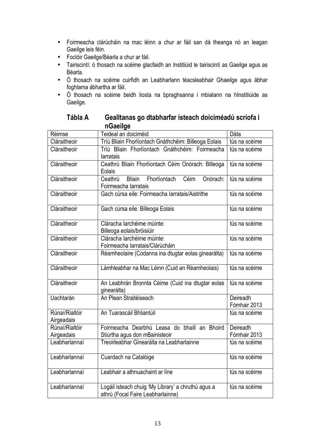- Foirmeacha clárúcháin na mac léinn a chur ar fáil san dá theanga nó an leagan Gaeilge leis féin.
- Foclóir Gaeilge/Béarla a chur ar fáil.
- Tairiscintí: ó thosach na scéime glacfaidh an Institiúid le tairiscintí as Gaeilge agus as Béarla.
- Ó thosach na scéime cuirfidh an Leabharlann téacsleabhair Ghaeilge agus ábhar foghlama ábhartha ar fáil.
- Ó thosach na scéime beidh liosta na bpraghsanna i mbialann na hInstitiúide as Gaeilge.

| Réimse                       | Teideal an doiciméid                                                                    | Dáta                     |
|------------------------------|-----------------------------------------------------------------------------------------|--------------------------|
| Cláraitheoir                 | Tríú Bliain Fhorlíontach Gnáthchéim: Billeoga Eolais                                    | tús na scéime            |
| Cláraitheoir                 | Tríú Bliain Fhorlíontach Gnáthchéim: Foirmeacha<br>larratais                            | tús na scéime            |
| Cláraitheoir                 | Ceathrú Bliain Fhorlíontach Céim Onórach: Billeoga<br>Eolais                            | tús na scéime            |
| Cláraitheoir                 | Fhorlíontach<br>Céim<br><b>Bliain</b><br>Onórach:<br>Ceathrú<br>Foirmeacha larratais    | tús na scéime            |
| Cláraitheoir                 | Gach cúrsa eile: Foirmeacha Iarratais/Aistrithe                                         | tús na scéime            |
| Cláraitheoir                 | Gach cúrsa eile: Billeoga Eolais                                                        | tús na scéime            |
| Cláraitheoir                 | Cláracha larchéime múinte:<br>Billeoga eolais/bróisiúir                                 | tús na scéime            |
| Cláraitheoir                 | Cláracha larchéime múinte:<br>Foirmeacha Iarratais/Clárúcháin                           | tús na scéime            |
| Cláraitheoir                 | Réamheolaire (Codanna ina dtugtar eolas ginearálta)                                     | tús na scéime            |
| Cláraitheoir                 | Lámhleabhar na Mac Léinn (Cuid an Réamheolais)                                          | tús na scéime            |
| Cláraitheoir                 | An Leabhrán Bronnta Céime (Cuid ina dtugtar eolas<br>ginearálta)                        | tús na scéime            |
| <b>Uachtarán</b>             | An Plean Straitéiseach                                                                  | Deireadh<br>Fómhair 2013 |
| Rúnaí/Rialtóir<br>Airgeadais | An Tuarascáil Bhliantúil                                                                | tús na scéime            |
| Rúnaí/Rialtóir               | Foirmeacha Dearbhú Leasa do bhaill an Bhoird                                            | Deireadh                 |
| Airgeadais                   | Stiúrtha agus don mBainisteoir                                                          | Fómhair 2013             |
| Leabharlannaí                | Treoirleabhar Ginearálta na Leabharlainne                                               | tús na scéime            |
| Leabharlannaí                | Cuardach na Catalóige                                                                   | tús na scéime            |
| Leabharlannaí                | Leabhair a athnuachaint ar líne                                                         | tús na scéime            |
| Leabharlannaí                | Logáil isteach chuig 'My Library' a chruthú agus a<br>athrú (Focal Faire Leabharlainne) | tús na scéime            |

**Tábla A Gealltanas go dtabharfar isteach doiciméadú scríofa i nGaeilge**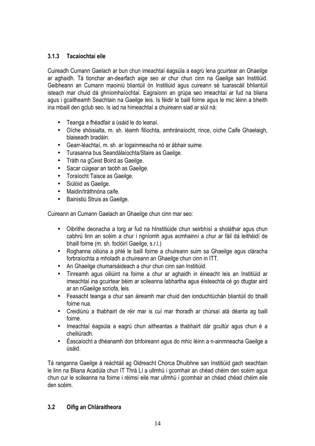### **3.1.3 Tacaíochtaí eile**

Cuireadh Cumann Gaelach ar bun chun imeachtaí éagsúla a eagrú lena gcuirtear an Ghaeilge ar aghaidh. Tá tionchar an-dearfach aige seo ar chur chun cinn na Gaeilge san Institiúid. Geibheann an Cumann maoiniú bliantúil ón Institiúid agus cuireann sé tuarascáil bhliantúil isteach mar chuid dá ghníomhaíochtaí. Eagraíonn an grúpa seo imeachtaí ar fud na bliana agus i gcaitheamh Seachtain na Gaeilge leis. Is féidir le baill foirne agus le mic léinn a bheith ina mbaill den gclub seo. Is iad na himeachtaí a chuireann siad ar siúl ná:

- Teanga a fhéadfair a úsáid le do leanaí.
- Oíche shóisialta, m. sh. léamh filíochta, amhránaíocht, rince, oíche Caife Ghaelaigh, blaiseadh bradáin.
- Gearr-léachtaí, m. sh. ar logainmeacha nó ar ábhair suime.
- Turasanna bus Seandálaíochta/Staire as Gaeilge.
- Tráth na gCeist Boird as Gaeilge.
- Sacar cúigear an taobh as Gaeilge.
- Toraíocht Taisce as Gaeilge.
- Siúlóid as Gaeilge.
- Maidin/tráthnóna caife.
- Bainistiú Struis as Gaeilge.

Cuireann an Cumann Gaelach an Ghaeilge chun cinn mar seo:

- Oibrithe deonacha a lorg ar fud na hInstitiúide chun seirbhísí a sholáthar agus chun cabhrú linn an scéim a chur i ngníomh agus acmhainní a chur ar fáil dá leithéidí de bhaill foirne (m. sh. foclóirí Gaeilge, s.r.l.)
- Roghanna oiliúna a phlé le baill foirne a chuireann suim sa Ghaeilge agus cláracha forbraíochta a mholadh a chuireann an Ghaeilge chun cinn in ITT.
- An Ghaeilge chumarsáideach a chur chun cinn san Institiúid.
- Tinreamh agus oiliúint na foirne a chur ar aghaidh in éineacht leis an Institiúid ar imeachtaí ina gcuirtear béim ar scileanna labhartha agus éisteachta cé go dtugtar aird ar an nGaeilge scríofa, leis.
- Feasacht teanga a chur san áireamh mar chuid den ionduchtúchán bliantúil do bhaill foirne nua.
- Creidiúnú a thabhairt de réir mar is cuí mar thoradh ar chúrsaí atá déanta ag baill foirne.
- Imeachtaí éagsúla a eagrú chun aitheantas a thabhairt dár gcultúr agus chun é a cheiliúradh.
- Éascaíocht a dhéanamh don bhfoireann agus do mhic léinn a n-ainmneacha Gaeilge a úsáid.

Tá ranganna Gaeilge á reáchtáil ag Oidreacht Chorca Dhuibhne san Institiúid gach seachtain le linn na Bliana Acadúla chun IT Thrá Lí a ullmhú i gcomhair an chéad chéim den scéim agus chun cur le scileanna na foirne i réimsí eile mar ullmhú i gcomhair an chéad chéad chéim eile den scéim.

### **3.2 Oifig an Chláraitheora**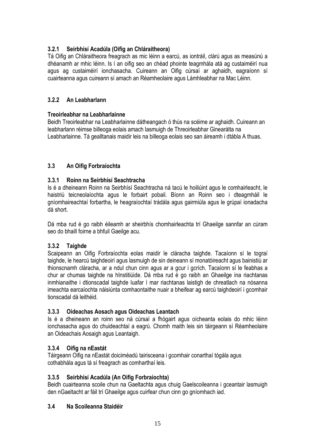### **3.2.1 Seirbhísí Acadúla (Oifig an Chláraitheora)**

Tá Oifig an Chláraitheora freagrach as mic léinn a earcú, as iontráil, clárú agus as measúnú a dhéanamh ar mhic léinn. Is í an oifig seo an chéad phointe teagmhála atá ag custaiméirí nua agus ag custaiméirí ionchasacha. Cuireann an Oifig cúrsaí ar aghaidh, eagraíonn sí cuairteanna agus cuireann sí amach an Réamheolaire agus Lámhleabhar na Mac Léinn.

### **3.2.2 An Leabharlann**

### **Treoirleabhar na Leabharlainne**

Beidh Treoirleabhar na Leabharlainne dátheangach ó thús na scéime ar aghaidh. Cuireann an leabharlann réimse billeoga eolais amach lasmuigh de Threoirleabhar Ginearálta na Leabharlainne. Tá gealltanais maidir leis na billeoga eolais seo san áireamh i dtábla A thuas.

### **3.3 An Oifig Forbraíochta**

### **3.3.1 Roinn na Seirbhísí Seachtracha**

Is é a dheineann Roinn na Seirbhísí Seachtracha ná tacú le hoiliúint agus le comhairleacht, le haistriú teicneolaíochta agus le forbairt pobail. Bíonn an Roinn seo i dteagmháil le gníomhaireachtaí forbartha, le heagraíochtaí trádála agus gairmiúla agus le grúpaí ionadacha dá short.

Dá mba rud é go raibh éileamh ar sheirbhís chomhairleachta trí Ghaeilge sannfar an cúram seo do bhaill foirne a bhfuil Gaeilge acu.

### **3.3.2 Taighde**

Scaipeann an Oifig Forbraíochta eolas maidir le cláracha taighde. Tacaíonn sí le tograí taighde, le hearcú taighdeoirí agus lasmuigh de sin deineann sí monatóireacht agus bainistiú ar thionscnamh cláracha, ar a ndul chun cinn agus ar a gcur i gcrích. Tacaíonn sí le feabhas a chur ar chumas taighde na hInstitiúide. Dá mba rud é go raibh an Ghaeilge ina riachtanas inmhianaithe i dtionscadal taighde luafar í mar riachtanas laistigh de chreatlach na nósanna imeachta earcaíochta náisiúnta comhaontaithe nuair a bheifear ag earcú taighdeoirí i gcomhair tionscadal dá leithéid.

### **3.3.3 Oideachas Aosach agus Oideachas Leantach**

Is é a dheineann an roinn seo ná cúrsaí a fhógairt agus oícheanta eolais do mhic léinn ionchasacha agus do chuideachtaí a eagrú. Chomh maith leis sin táirgeann sí Réamheolaire an Oideachais Aosaigh agus Leantaigh.

### **3.3.4 Oifig na nEastát**

Táirgeann Oifig na nEastát doiciméadú tairisceana i gcomhair conarthaí tógála agus cothabhála agus tá sí freagrach as comharthaí leis.

### **3.3.5 Seirbhísí Acadúla (An Oifig Forbraíochta)**

Beidh cuairteanna scoile chun na Gaeltachta agus chuig Gaelscoileanna i gceantair lasmuigh den nGaeltacht ar fáil trí Ghaeilge agus cuirfear chun cinn go gníomhach iad.

### **3.4 Na Scoileanna Staidéir**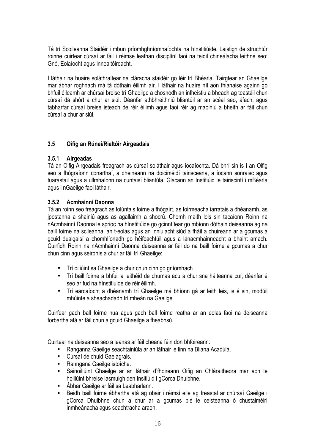Tá trí Scoileanna Staidéir i mbun príomhghníomhaíochta na hInstitiúide. Laistigh de struchtúr roinne cuirtear cúrsaí ar fáil i réimse leathan disciplíní faoi na teidil chineálacha leithne seo: Gnó, Eolaíocht agus Innealtóireacht.

I láthair na huaire soláthraítear na cláracha staidéir go léir trí Bhéarla. Tairgtear an Ghaeilge mar ábhar roghnach má tá dóthain éilimh air. I láthair na huaire níl aon fhianaise againn go bhfuil éileamh ar chúrsaí breise trí Ghaeilge a chosnódh an infheistiú a bheadh ag teastáil chun cúrsaí dá shórt a chur ar siúl. Déanfar athbhreithniú bliantúil ar an scéal seo, áfach, agus tabharfar cúrsaí breise isteach de réir éilimh agus faoi réir ag maoiniú a bheith ar fáil chun cúrsaí a chur ar siúl.

### **3.5 Oifig an Rúnaí/Rialtóir Airgeadais**

### **3.5.1 Airgeadas**

Tá an Oifig Airgeadais freagrach as cúrsaí soláthair agus íocaíochta. Dá bhrí sin is í an Oifig seo a fhógraíonn conarthaí, a dheineann na doiciméidí tairisceana, a íocann sonraisc agus tuarastail agus a ullmhaíonn na cuntaisí bliantúla. Glacann an Institiúid le tairiscintí i mBéarla agus i nGaeilge faoi láthair.

### **3.5.2 Acmhainní Daonna**

Tá an roinn seo freagrach as folúntais foirne a fhógairt, as foirmeacha iarratais a dhéanamh, as jpostanna a shainiú agus as agallaimh a shocrú. Chomh maith leis sin tacaíonn Roinn na nAcmhainní Daonna le sprioc na hInstitiúide go gcinntítear go mbíonn dóthain deiseanna ag na baill foirne na scileanna, an t-eolas agus an inniúlacht siúd a fháil a chuireann ar a gcumas a gcuid dualgaisí a chomhlíonadh go héifeachtúil agus a lánacmhainneacht a bhaint amach. Cuirfidh Roinn na nAcmhainní Daonna deiseanna ar fáil do na baill foirne a gcumas a chur chun cinn agus seirbhís a chur ar fáil trí Ghaeilge:

- Trí oiliúint sa Ghaeilge a chur chun cinn go gníomhach
- Trí baill foirne a bhfuil a leithéid de chumas acu a chur sna háiteanna cuí; déanfar é seo ar fud na hInstitiúide de réir éilimh.
- Trí earcaíocht a dhéanamh trí Ghaeilge má bhíonn gá ar leith leis, is é sin, modúil mhúinte a sheachadadh trí mheán na Gaeilge.

Cuirfear gach ball foirne nua agus gach ball foirne reatha ar an eolas faoi na deiseanna forbartha atá ar fáil chun a gcuid Ghaeilge a fheabhsú.

Cuirtear na deiseanna seo a leanas ar fáil cheana féin don bhfoireann:

- Ranganna Gaeilge seachtainiúla ar an láthair le linn na Bliana Acadúla.
- Cúrsaí de chuid Gaelagrais.
- Ranngana Gaeilge istoíche.
- Sainoiliúint Ghaeilge ar an láthair d'fhoireann Oifig an Chláraitheora mar aon le hoiliúint bhreise lasmuigh den Insitiúid i gCorca Dhuibhne.
- Ábhar Gaeilge ar fáil sa Leabharlann.
- Beidh baill foirne ábhartha atá ag obair i réimsí eile ag freastal ar chúrsaí Gaeilge i gCorca Dhuibhne chun a chur ar a gcumas plé le ceisteanna ó chustaiméirí inmheánacha agus seachtracha araon.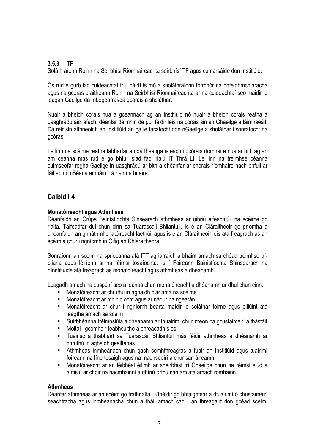### **3.5.3 TF**

Soláthraíonn Roinn na Seirbhísí Ríomhaireachta seirbhísí TF agus cumarsáide don Institiúid.

Ós rud é gurb iad cuideachtaí tríú páirtí is mó a sholáthraíonn formhór na bhfeidhmchláracha agus na gcóras braitheann Roinn na Seirbhísí Ríomhaireachta ar na cuideachtaí seo maidir le leagan Gaeilge dá mbogearraí/dá gcórais a sholáthar.

Nuair a bheidh córais nua á gceannach ag an Institiúid nó nuair a bheidh córais reatha á uasghrádú aici áfach, déanfar deimhin de gur féidir leis na córais sin an Ghaeilge a láimhseáil. Dá réir sin aithneoidh an Institiúid an gá le tacaíocht don nGaeilge a sholáthar i sonraíocht na gcóras.

Le linn na scéime reatha tabharfar an dá theanga isteach i gcórais ríomhaire nua ar bith ag an am céanna más rud é go bhfuil siad faoi rialú IT Thrá Lí. Le linn na tréimhse céanna cuimseofar rogha Gaeilge in uasghrádú ar bith a dhéanfar ar chórais ríomhaire nach bhfuil ar fáil ach i mBéarla amháin i láthair na huaire.

### **Caibidil 4**

### **Monatóireacht agus Athmheas**

Déanfaidh an Grúpa Bainístíochta Sinsearach athmheas ar oibriú éifeachtúil na scéime go rialta. Taifeadfar dul chun cinn sa Tuarascáil Bhliantúil. Is é an Cláraitheoir go príomha a dhéanfaidh an ghnáthmhonatóireacht laethúil agus is é an Cláraitheoir leis atá freagrach as an scéim a chur i ngníomh in Oifig an Chláraitheora.

Sonraíonn an scéim na spriocanna atá ITT ag iarraidh a bhaint amach sa chéad tréimhse tríbliana agus léiríonn sí na réimsí tosaíochta. Is í Foireann Bainistíochta Shinsearach na hInstitiúide atá freagrach as monatóireacht agus athmheas a dhéanamh.

Leagadh amach na cuspóirí seo a leanas chun monatóireacht a dhéanamh ar dhul chun cinn:

- Monatóireacht ar chruthú in aghaidh clár ama na scéime
- Monatóireacht ar mhinicíocht agus ar nádúr na ngearán
- Monatóireacht ar chur i ngníomh bearta maidir le soláthar foirne agus oiliúint atá leagtha amach sa scéim
- Suirbhéanna tréimhsiúla a dhéanamh ar thuairimí chun meon na gcustaiméirí a thástáil
- Moltaí i gcomhair feabhsuithe a bhreacadh síos
- Tuairisc a thabhairt sa Tuarascáil Bhliantúil más féidir athmheas a dhéanamh ar chruthú in aghaidh gealltanas
- Athmheas inmheánach chun gach comhfhreagras a fuair an Institiúid agus tuairimí foireann na líne tosaigh agus na maoirseoirí a chur san áireamh.
- Monatóireacht ar an léibhéal éilimh ar sheirbhisí trí Ghaeilge chun na réimsí siúd a aimsiú ar chóir na hacmhainní a dhíriú orthu san am atá amach romhainn.

### **Athmheas**

Déanfar athmheas ar an scéim go tráthrialta. B'fhéidir go bhfaighfear a dtuairimí ó chustaiméirí seachtracha agus inmheánacha chun a fháil amach cad í an fhreagairt don gcéad scéim.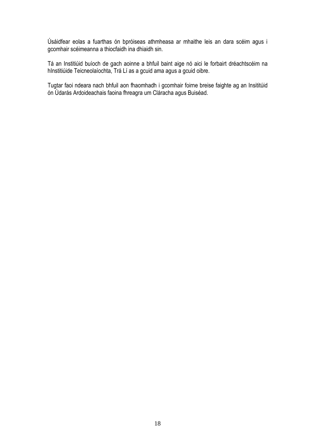Úsáidfear eolas a fuarthas ón bpróiseas athmheasa ar mhaithe leis an dara scéim agus i gcomhair scéimeanna a thiocfaidh ina dhiaidh sin.

Tá an Institiúid buíoch de gach aoinne a bhfuil baint aige nó aici le forbairt dréachtscéim na hInstitiúide Teicneolaíochta, Trá Lí as a gcuid ama agus a gcuid oibre.

Tugtar faoi ndeara nach bhfuil aon fhaomhadh i gcomhair foirne breise faighte ag an Insititúid ón Údarás Ardoideachais faoina fhreagra um Cláracha agus Buiséad.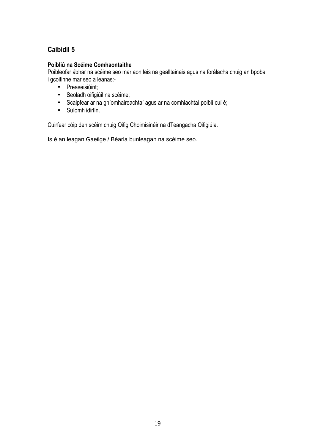## **Caibidil 5**

### **Poibliú na Scéime Comhaontaithe**

Poibleofar ábhar na scéime seo mar aon leis na gealltainais agus na forálacha chuig an bpobal i gcoitinne mar seo a leanas:-

- Preaseisiúint;
- Seoladh oifigiúil na scéime;
- Scaipfear ar na gníomhaireachtaí agus ar na comhlachtaí poiblí cuí é;
- Suíomh idirlín.

Cuirfear cóip den scéim chuig Oifig Choimisinéir na dTeangacha Oifigiúla.

Is é an leagan Gaeilge / Béarla bunleagan na scéime seo.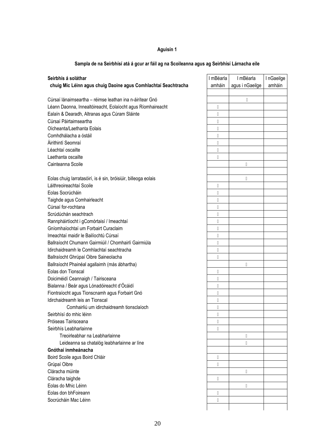### **Aguisín 1**

| Seirbhís á soláthar                                            |   | I mBéarla       | InGaeilge |
|----------------------------------------------------------------|---|-----------------|-----------|
| chuig Mic Léinn agus chuig Daoine agus Comhlachtaí Seachtracha |   | agus i nGaeilge | amháin    |
|                                                                |   |                 |           |
| Cúrsaí lánaimseartha - réimse leathan ina n-áirítear Gnó       |   | N               |           |
| Léann Daonna, Innealtóireacht, Eolaíocht agus Ríomhaireacht    | N |                 |           |
| Ealaín & Dearadh, Altranas agus Cúram Sláinte                  | N |                 |           |
| Cúrsaí Páirtaimseartha                                         | N |                 |           |
| Oícheanta/Laethanta Eolais                                     | N |                 |           |
| Comhdhálacha a óstáil                                          | N |                 |           |
| Áirithintí Seomraí                                             | N |                 |           |
| Léachtaí oscailte                                              | N |                 |           |
| Laethanta oscailte                                             | N |                 |           |
| Cainteanna Scoile                                              |   | N               |           |
|                                                                |   |                 |           |
| Eolas chuig larratasóirí, is é sin, bróisiúir, billeoga eolais |   | $\mathsf{N}$    |           |
| Láithreoireachtaí Scoile                                       | N |                 |           |
| Eolas Socrúcháin                                               | N |                 |           |
| Taighde agus Comhairleacht                                     | N |                 |           |
| Cúrsaí for-rochtana                                            | N |                 |           |
| Scrúdúchán seachtrach                                          | N |                 |           |
| Rannpháirtíocht i gComórtaisí / Imeachtaí                      | N |                 |           |
| Gníomhaíochtaí um Forbairt Curaclaim                           | N |                 |           |
| Imeachtaí maidir le Bailíochtú Cúrsaí                          | N |                 |           |
| Ballraíocht Chumann Gairmiúil / Chomhairlí Gairmiúla           | N |                 |           |
| Idirchaidreamh le Comhlachtaí seachtracha                      | N |                 |           |
| Ballraíocht Ghrúpaí Oibre Saineolacha                          | N |                 |           |
| Ballraíocht Phainéal agallaimh (más ábhartha)                  |   | N               |           |
| Eolas don Tionscal                                             | N |                 |           |
| Doiciméidí Ceannaigh / Tairisceana                             | N |                 |           |
| Bialanna / Beár agus Lónadóireacht d'Ócáidí                    | N |                 |           |
| Fiontraíocht agus Tionscnamh agus Forbairt Gnó                 | N |                 |           |
| Idirchaidreamh leis an Tionscal                                | N |                 |           |
| Comhairliú um idirchaidreamh tionsclaíoch                      | N |                 |           |
| Seirbhísí do mhic léinn                                        | N |                 |           |
| Próiseas Tairisceana                                           | N |                 |           |
| Seirbhís Leabharlainne                                         | N |                 |           |
| Treoirleabhar na Leabharlainne                                 |   | N               |           |
| Leideanna sa chatalóg leabharlainne ar líne                    |   | N               |           |
| Gnóthaí inmheánacha                                            |   |                 |           |
| Boird Scoile agus Boird Chláir                                 | Ν |                 |           |
| Grúpaí Oibre                                                   | N |                 |           |
| Cláracha múinte                                                |   | N               |           |
| Cláracha taighde                                               | N |                 |           |
| Eolas do Mhic Léinn                                            |   | ${\sf N}$       |           |
| Eolas don bhFoireann                                           | N |                 |           |
| Socrúcháin Mac Léinn                                           | Ν |                 |           |
|                                                                |   |                 |           |
|                                                                |   |                 |           |

### **Sampla de na Seirbhísí atá á gcur ar fáil ag na Scoileanna agus ag Seirbhísí Lárnacha eile**